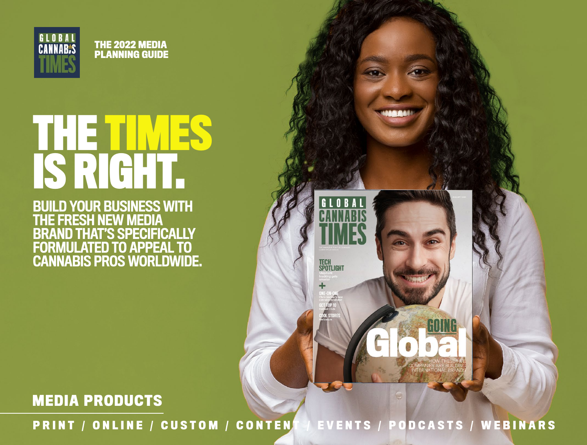

**THE 2022 MEDIA PLANNING GUIDE**

# **THE TIMES IS RIGHT.**

BUILD YOUR BUSINESS WITH THE FRESH NEW MEDIA BRAND THAT'S SPECIFICALLY FORMULATED TO APPEAL TO CANNABIS PROS WORLDWIDE.

**MEDIA PRODUCTS**

**PRINT / ONLINE / CUSTOM / CONTENT / EVENTS / PODCASTS / WEBINARS**

GLOBAL

TECH<br>Spotlight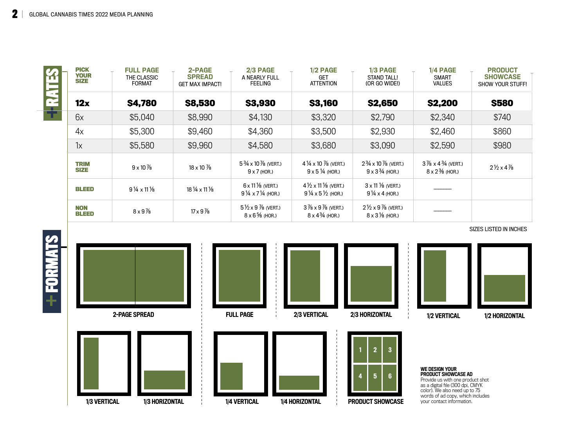$\sim$ 

| LA<br>M<br>E | <b>PICK</b><br><b>YOUR</b><br><b>SIZE</b> | <b>FULL PAGE</b><br>THE CLASSIC<br><b>FORMAT</b> | 2-PAGE<br><b>SPREAD</b><br><b>GET MAX IMPACT!</b> | 2/3 PAGE<br>A NEARLY FULL<br><b>FEELING</b>                                  | 1/2 PAGE<br><b>GET</b><br><b>ATTENTION</b>                                               | 1/3 PAGE<br><b>STAND TALL!</b><br>(OR GO WIDE!)                             | 1/4 PAGE<br><b>SMART</b><br><b>VALUES</b>                                    | <b>PRODUCT</b><br><b>SHOWCASE</b><br>SHOW YOUR STUFF! |
|--------------|-------------------------------------------|--------------------------------------------------|---------------------------------------------------|------------------------------------------------------------------------------|------------------------------------------------------------------------------------------|-----------------------------------------------------------------------------|------------------------------------------------------------------------------|-------------------------------------------------------|
| É            | 12x                                       | <b>\$4,780</b>                                   | <b>\$8,530</b>                                    | <b>\$3,930</b>                                                               | <b>\$3,160</b>                                                                           | <b>\$2,650</b>                                                              | <b>\$2,200</b>                                                               | <b>S580</b>                                           |
|              | 6x                                        | \$5,040                                          | \$8,990                                           | \$4,130                                                                      | \$3,320                                                                                  | \$2,790                                                                     | \$2,340                                                                      | \$740                                                 |
|              | 4x                                        | \$5,300                                          | \$9,460                                           | \$4,360                                                                      | \$3,500                                                                                  | \$2,930                                                                     | \$2,460                                                                      | \$860                                                 |
|              | 1x                                        | \$5,580                                          | \$9,960                                           | \$4,580                                                                      | \$3,680                                                                                  | \$3,090                                                                     | \$2,590                                                                      | \$980                                                 |
|              | <b>TRIM</b><br><b>SIZE</b>                | $9 \times 10\%$                                  | $18 \times 10\%$                                  | $5\frac{3}{4} \times 10\frac{7}{8}$ (VERT.)<br>$9 \times 7$ (HOR.)           | $4\frac{1}{4} \times 10\frac{7}{8}$ (VERT.)<br>$9 \times 5\frac{1}{4}$ (HOR.)            | $2\frac{3}{4}$ x 10 $\frac{7}{8}$ (VERT.)<br>$9 \times 3\frac{3}{4}$ (HOR.) | $3\frac{7}{8} \times 4\frac{3}{4}$ (VERT.)<br>$8 \times 2\frac{3}{6}$ (HOR.) | $2\frac{1}{2} \times 4\frac{7}{8}$                    |
|              | <b>BLEED</b>                              | $9\frac{1}{4} \times 11\frac{1}{8}$              | $18\frac{1}{4} \times 11\frac{1}{8}$              | $6 \times 11\%$ (VERT.)<br>$9\frac{1}{4} \times 7\frac{1}{4}$ (HOR.)         | $4\frac{1}{2} \times 11\frac{1}{8}$ (VERT.)<br>$9\frac{1}{4} \times 5\frac{1}{2}$ (HOR.) | $3 \times 11$ % (VERT.)<br>$9\frac{1}{4} \times 4$ (HOR.)                   |                                                                              |                                                       |
|              | <b>NON</b><br>BLEED                       | $8 \times 9\%$                                   | $17 \times 9\%$                                   | $5\frac{1}{2} \times 9\frac{7}{8}$ (VERT.)<br>$8 \times 6\frac{5}{6}$ (HOR.) | $3\frac{7}{8} \times 9\frac{7}{8}$ (VERT.)<br>$8 \times 4\frac{3}{4}$ (HOR.)             | $2\frac{1}{2} \times 9\frac{7}{8}$ (VERT.)<br>$8 \times 3\%$ (HOR.)         |                                                                              |                                                       |



SIZES LISTED IN INCHES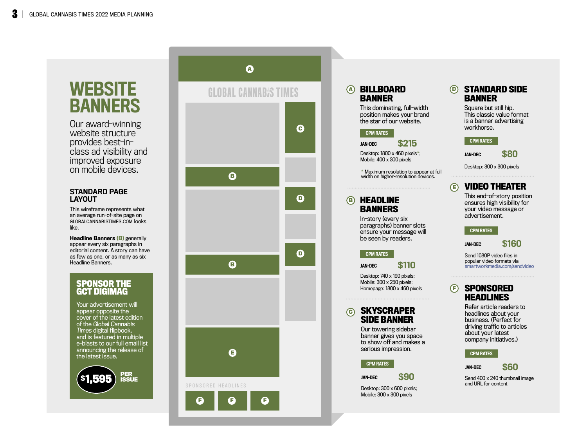# **WEBSITE** BANNERS

Our award-winning website structure provides best-inclass ad visibility and improved exposure on mobile devices.

# STANDARD PAGE LAYOUT

This wireframe represents what an average run-of-site page on GLOBALCANNABISTIMES.COM looks like.

Headline Banners (B) generally appear every six paragraphs in editorial content. A story can have as few as one, or as many as six Headline Banners.

# **SPONSOR THE GCT DIGIMAG**

Your advertisement will appear opposite the cover of the latest edition of the Global Cannabis Times digital flipbook, and is featured in multiple e-blasts to our full email list announcing the release of the latest issue.







# **A**<br>C<br>C<br>C<br>C<br>C **BILLBOARD BANNER**

This dominating, full-width position makes your brand the star of our website.

#### CPM RATES

JAN-DEC \$215

Desktop: 1800 x 460 pixels \*; Mobile: 400 x 300 pixels

\* Maximum resolution to appear at full width on higher-resolution devices.

# **HEADLINE BANNERS**

In-story (every six paragraphs) banner slots ensure your message will be seen by readers.

# CPM RATES

JAN-DEC \$110

Desktop: 740 x 190 pixels; Mobile: 300 x 250 pixels; Homepage: 1800 x 460 pixels

#### **SKYSCRAPER**  ര **SIDE BANNER**

Our towering sidebar banner gives you space to show off and makes a serious impression.

### CPM RATES

JAN-DEC \$90

Desktop: 300 x 600 pixels; Mobile: 300 x 300 pixels

# **DFFEED STANDARD SIDE BANNER**

Square but still hip. This classic value format is a banner advertising workhorse.

# CPM RATES

JAN-DEC \$80

Desktop: 300 x 300 pixels

#### **VIDEO THEATER**  $\bigoplus$

This end-of-story position ensures high visibility for your video message or advertisement.

# CPM RATES

JAN-DEC \$160

Send 1080P video files in popular video formats via smartworkmedia.com/sendvideo

#### **SPONSORED**  (F) **HEADLINES**

Refer article readers to headlines about your business. (Perfect for driving traffic to articles about your latest company initiatives.)

# CPM RATES

JAN-DEC

and URL for content

\$60 Send 400 x 240 thumbnail image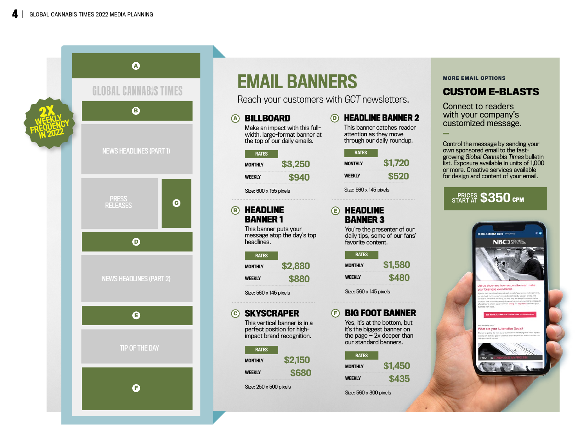

# EMAIL BANNERS

**A**

**B**

**C**

Reach your customers with GCT newsletters.

| BILLBOARD                  | Make an impact with this full-<br>width, large-format banner at<br>the top of our daily emails. | (D) | н<br>Th<br>att<br>thr |
|----------------------------|-------------------------------------------------------------------------------------------------|-----|-----------------------|
| <b>RATES</b>               |                                                                                                 |     |                       |
| <b>MONTHLY</b>             | \$3,250                                                                                         |     | <b>MO</b>             |
| <b>WEEKLY</b>              | \$940                                                                                           |     | <b>WE</b>             |
| Size: 600 x 155 pixels     |                                                                                                 |     | Siz                   |
|                            |                                                                                                 |     |                       |
| HEADLINE                   |                                                                                                 | (E) |                       |
| <b>BANNER1</b>             |                                                                                                 |     | B                     |
| This banner puts your      | message atop the day's top                                                                      |     | Ya<br>da              |
| headlines.                 |                                                                                                 |     | fa                    |
| <b>RATES</b>               |                                                                                                 |     |                       |
| <b>MONTHLY</b>             | \$2,880                                                                                         |     | <b>MO</b>             |
| <b>WEEKLY</b>              | <b>\$880</b>                                                                                    |     | <b>WE</b>             |
| Size: 560 x 145 pixels     |                                                                                                 |     | Siz                   |
|                            |                                                                                                 |     |                       |
| <b>SKYSCRAPER</b>          |                                                                                                 | Œ   | B                     |
| perfect position for high- | This vertical banner is in a                                                                    |     | Ye<br>iťs             |
| impact brand recognition.  |                                                                                                 |     | th                    |
| <b>RATES</b>               |                                                                                                 |     | OU                    |
|                            |                                                                                                 |     |                       |
| <b>MONTHLY</b>             | \$2.150                                                                                         |     |                       |
| <b>WEEKLY</b>              | \$680                                                                                           |     | <b>MO</b>             |

Size: 250 x 500 pixels

|                                                                                    | <b>HEADLINE BANNER 2</b> |  |  |
|------------------------------------------------------------------------------------|--------------------------|--|--|
| This banner catches reader<br>attention as they move<br>through our daily roundup. |                          |  |  |
| <b>RATES</b>                                                                       |                          |  |  |
| <b>MONTHLY</b>                                                                     | \$1,720                  |  |  |
| <b>WEEKLY</b>                                                                      | שמא                      |  |  |

 $ze: 560 \times 145$  pixels

# **IEADLINE BANNER 3**

ou're the presenter of our aily tips, some of our fans' vorite content.

| <b>RATES</b>                           |                      |
|----------------------------------------|----------------------|
| <b>MONTHLY</b>                         |                      |
| ---------------------<br><b>WEEKLY</b> |                      |
| <b>HALL</b>                            | ******************** |

ze: 560 x 145 pixels

# **BIG FOOT BANNER** es, it's at the bottom, but it's the biggest banner on the page — 2x deeper than or page<br>ur standard banners.

| <b>RATES</b>                              |  |
|-------------------------------------------|--|
| <b>MONTHLY</b>                            |  |
| ------------------------<br><b>WEEKLY</b> |  |
|                                           |  |

Size: 560 x 300 pixels

# **MORE EMAIL OPTIONS**

# **CUSTOM E-BLASTS**

Connect to readers with your company's customized message.

Control the message by sending your own sponsored email to the fastgrowing Global Cannabis Times bulletin list. Exposure available in units of 1,000 or more. Creative services available for design and content of your email.

# START AT **\$350 cpm**